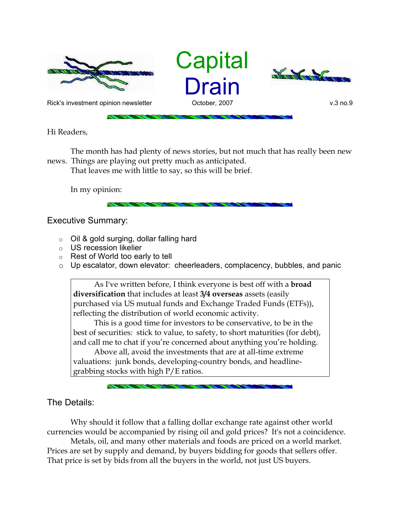





Rick's investment opinion newsletter October, 2007 v.3 no.9

Hi Readers,

The month has had plenty of news stories, but not much that has really been new news. Things are playing out pretty much as anticipated.

That leaves me with little to say, so this will be brief.

In my opinion:

Executive Summary:

- o Oil & gold surging, dollar falling hard
- o US recession likelier
- o Rest of World too early to tell
- o Up escalator, down elevator: cheerleaders, complacency, bubbles, and panic

As I've written before, I think everyone is best off with a **broad diversification** that includes at least **3/4 overseas** assets (easily purchased via US mutual funds and Exchange Traded Funds (ETFs)), reflecting the distribution of world economic activity.

This is a good time for investors to be conservative, to be in the best of securities: stick to value, to safety, to short maturities (for debt), and call me to chat if you're concerned about anything you're holding.

Above all, avoid the investments that are at all-time extreme valuations: junk bonds, developing-country bonds, and headlinegrabbing stocks with high P/E ratios.

The Details:

Why should it follow that a falling dollar exchange rate against other world currencies would be accompanied by rising oil and gold prices? It's not a coincidence.

Metals, oil, and many other materials and foods are priced on a world market. Prices are set by supply and demand, by buyers bidding for goods that sellers offer. That price is set by bids from all the buyers in the world, not just US buyers.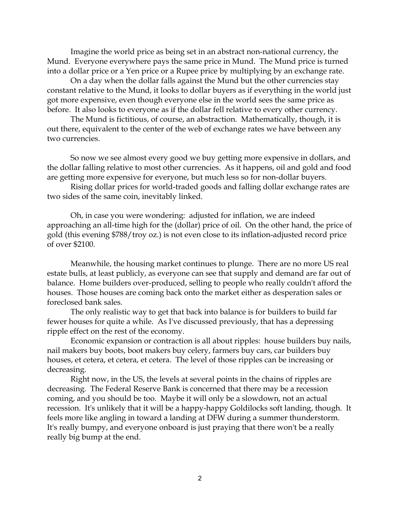Imagine the world price as being set in an abstract non-national currency, the Mund. Everyone everywhere pays the same price in Mund. The Mund price is turned into a dollar price or a Yen price or a Rupee price by multiplying by an exchange rate.

On a day when the dollar falls against the Mund but the other currencies stay constant relative to the Mund, it looks to dollar buyers as if everything in the world just got more expensive, even though everyone else in the world sees the same price as before. It also looks to everyone as if the dollar fell relative to every other currency.

The Mund is fictitious, of course, an abstraction. Mathematically, though, it is out there, equivalent to the center of the web of exchange rates we have between any two currencies.

So now we see almost every good we buy getting more expensive in dollars, and the dollar falling relative to most other currencies. As it happens, oil and gold and food are getting more expensive for everyone, but much less so for non-dollar buyers.

Rising dollar prices for world-traded goods and falling dollar exchange rates are two sides of the same coin, inevitably linked.

Oh, in case you were wondering: adjusted for inflation, we are indeed approaching an all-time high for the (dollar) price of oil. On the other hand, the price of gold (this evening \$788/troy oz.) is not even close to its inflation-adjusted record price of over \$2100.

Meanwhile, the housing market continues to plunge. There are no more US real estate bulls, at least publicly, as everyone can see that supply and demand are far out of balance. Home builders over-produced, selling to people who really couldn't afford the houses. Those houses are coming back onto the market either as desperation sales or foreclosed bank sales.

The only realistic way to get that back into balance is for builders to build far fewer houses for quite a while. As I've discussed previously, that has a depressing ripple effect on the rest of the economy.

Economic expansion or contraction is all about ripples: house builders buy nails, nail makers buy boots, boot makers buy celery, farmers buy cars, car builders buy houses, et cetera, et cetera, et cetera. The level of those ripples can be increasing or decreasing.

Right now, in the US, the levels at several points in the chains of ripples are decreasing. The Federal Reserve Bank is concerned that there may be a recession coming, and you should be too. Maybe it will only be a slowdown, not an actual recession. It's unlikely that it will be a happy-happy Goldilocks soft landing, though. It feels more like angling in toward a landing at DFW during a summer thunderstorm. It's really bumpy, and everyone onboard is just praying that there won't be a really really big bump at the end.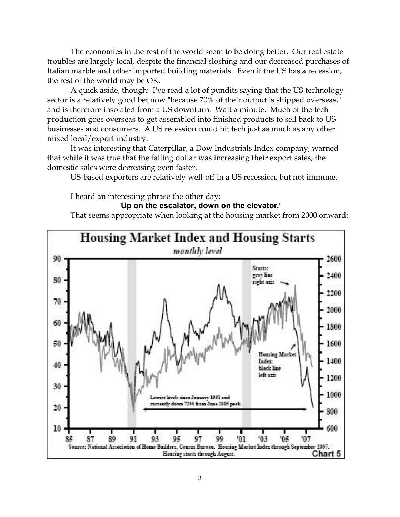The economies in the rest of the world seem to be doing better. Our real estate troubles are largely local, despite the financial sloshing and our decreased purchases of Italian marble and other imported building materials. Even if the US has a recession, the rest of the world may be OK.

A quick aside, though: I've read a lot of pundits saying that the US technology sector is a relatively good bet now "because 70% of their output is shipped overseas," and is therefore insolated from a US downturn. Wait a minute. Much of the tech production goes overseas to get assembled into finished products to sell back to US businesses and consumers. A US recession could hit tech just as much as any other mixed local/export industry.

It was interesting that Caterpillar, a Dow Industrials Index company, warned that while it was true that the falling dollar was increasing their export sales, the domestic sales were decreasing even faster.

US-based exporters are relatively well-off in a US recession, but not immune.

I heard an interesting phrase the other day:

## "**Up on the escalator, down on the elevator.**"

That seems appropriate when looking at the housing market from 2000 onward: